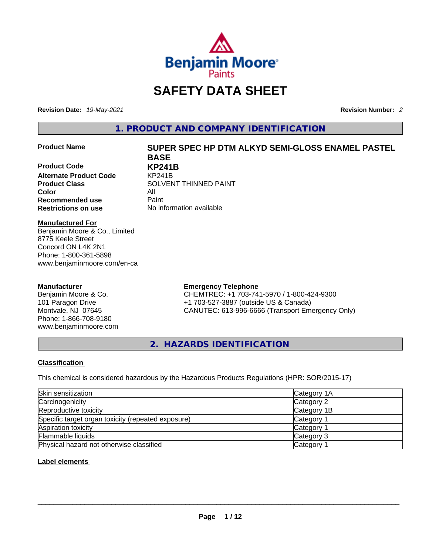

# **SAFETY DATA SHEET**

**Revision Date:** *19-May-2021* **Revision Number:** *2*

**1. PRODUCT AND COMPANY IDENTIFICATION** 

**Product Code KP241B Alternate Product Code** KP241B **Color** All<br> **Recommended use** Paint **Recommended use**<br>**Restrictions on use** 

### **Product Name SUPER SPEC HP DTM ALKYD SEMI-GLOSS ENAMEL PASTEL BASE**

**Product Class SOLVENT THINNED PAINT No information available** 

#### **Manufactured For**

Benjamin Moore & Co., Limited 8775 Keele Street Concord ON L4K 2N1 Phone: 1-800-361-5898 www.benjaminmoore.com/en-ca

#### **Manufacturer**

Benjamin Moore & Co. 101 Paragon Drive Montvale, NJ 07645 Phone: 1-866-708-9180 www.benjaminmoore.com

#### **Emergency Telephone**

CHEMTREC: +1 703-741-5970 / 1-800-424-9300 +1 703-527-3887 (outside US & Canada) CANUTEC: 613-996-6666 (Transport Emergency Only)

**2. HAZARDS IDENTIFICATION** 

#### **Classification**

This chemical is considered hazardous by the Hazardous Products Regulations (HPR: SOR/2015-17)

| Skin sensitization                                 | Category 1A |
|----------------------------------------------------|-------------|
| Carcinogenicity                                    | Category 2  |
| Reproductive toxicity                              | Category 1B |
| Specific target organ toxicity (repeated exposure) | Category 1  |
| Aspiration toxicity                                | Category 1  |
| Flammable liquids                                  | Category 3  |
| Physical hazard not otherwise classified           | Category    |

#### **Label elements**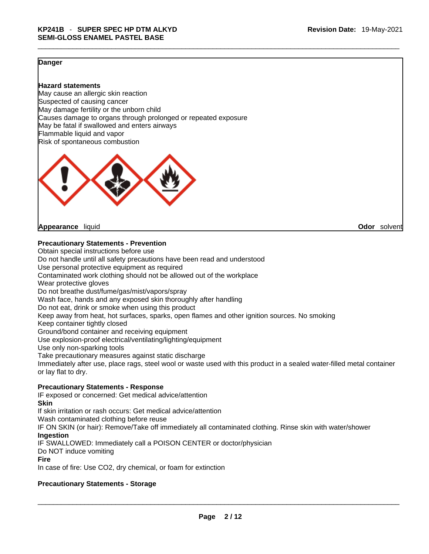#### **Danger**

#### **Hazard statements**

May cause an allergic skin reaction Suspected of causing cancer May damage fertility or the unborn child Causes damage to organs through prolonged or repeated exposure May be fatal if swallowed and enters airways Flammable liquid and vapor Risk of spontaneous combustion



**Appearance** liquid **Odor** solvent

#### **Precautionary Statements - Prevention**

Obtain special instructions before use Do not handle until all safety precautions have been read and understood Use personal protective equipment as required Contaminated work clothing should not be allowed out of the workplace Wear protective gloves Do not breathe dust/fume/gas/mist/vapors/spray Wash face, hands and any exposed skin thoroughly after handling Do not eat, drink or smoke when using this product Keep away from heat, hot surfaces, sparks, open flames and other ignition sources. No smoking Keep container tightly closed Ground/bond container and receiving equipment Use explosion-proof electrical/ventilating/lighting/equipment Use only non-sparking tools Take precautionary measures against static discharge Immediately after use, place rags, steel wool or waste used with this product in a sealed water-filled metal container or lay flat to dry. **Precautionary Statements - Response** IF exposed or concerned: Get medical advice/attention

**Skin**

If skin irritation or rash occurs: Get medical advice/attention

Wash contaminated clothing before reuse

IF ON SKIN (or hair): Remove/Take off immediately all contaminated clothing. Rinse skin with water/shower **Ingestion**

IF SWALLOWED: Immediately call a POISON CENTER or doctor/physician

Do NOT induce vomiting

#### **Fire**

In case of fire: Use CO2, dry chemical, or foam for extinction

#### **Precautionary Statements - Storage**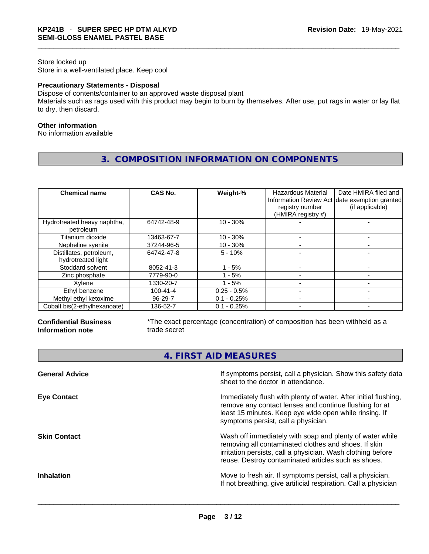#### Store locked up Store in a well-ventilated place. Keep cool

#### **Precautionary Statements - Disposal**

Dispose of contents/container to an approved waste disposal plant Materials such as rags used with this product may begin to burn by themselves. After use, put rags in water or lay flat to dry, then discard.

#### **Other information**

No information available

**3. COMPOSITION INFORMATION ON COMPONENTS** 

| <b>Chemical name</b>                          | CAS No.        | Weight-%      | Hazardous Material<br>registry number<br>(HMIRA registry #) | Date HMIRA filed and<br>Information Review Act date exemption granted<br>(if applicable) |
|-----------------------------------------------|----------------|---------------|-------------------------------------------------------------|------------------------------------------------------------------------------------------|
| Hydrotreated heavy naphtha,<br>petroleum      | 64742-48-9     | $10 - 30%$    |                                                             |                                                                                          |
| Titanium dioxide                              | 13463-67-7     | $10 - 30%$    |                                                             |                                                                                          |
| Nepheline syenite                             | 37244-96-5     | $10 - 30%$    |                                                             |                                                                                          |
| Distillates, petroleum,<br>hydrotreated light | 64742-47-8     | $5 - 10%$     |                                                             |                                                                                          |
| Stoddard solvent                              | 8052-41-3      | - 5%          |                                                             |                                                                                          |
| Zinc phosphate                                | 7779-90-0      | - 5%          |                                                             |                                                                                          |
| Xvlene                                        | 1330-20-7      | $-5%$         |                                                             |                                                                                          |
| Ethyl benzene                                 | $100 - 41 - 4$ | $0.25 - 0.5%$ |                                                             |                                                                                          |
| Methyl ethyl ketoxime                         | 96-29-7        | $0.1 - 0.25%$ |                                                             |                                                                                          |
| Cobalt bis(2-ethylhexanoate)                  | 136-52-7       | $0.1 - 0.25%$ |                                                             |                                                                                          |

#### **Confidential Business Information note**

\*The exact percentage (concentration) of composition has been withheld as a trade secret

**4. FIRST AID MEASURES** 

| If symptoms persist, call a physician. Show this safety data<br>sheet to the doctor in attendance.                                                                                                                                     |
|----------------------------------------------------------------------------------------------------------------------------------------------------------------------------------------------------------------------------------------|
| Immediately flush with plenty of water. After initial flushing,<br>remove any contact lenses and continue flushing for at<br>least 15 minutes. Keep eye wide open while rinsing. If<br>symptoms persist, call a physician.             |
| Wash off immediately with soap and plenty of water while<br>removing all contaminated clothes and shoes. If skin<br>irritation persists, call a physician. Wash clothing before<br>reuse. Destroy contaminated articles such as shoes. |
| Move to fresh air. If symptoms persist, call a physician.<br>If not breathing, give artificial respiration. Call a physician                                                                                                           |
|                                                                                                                                                                                                                                        |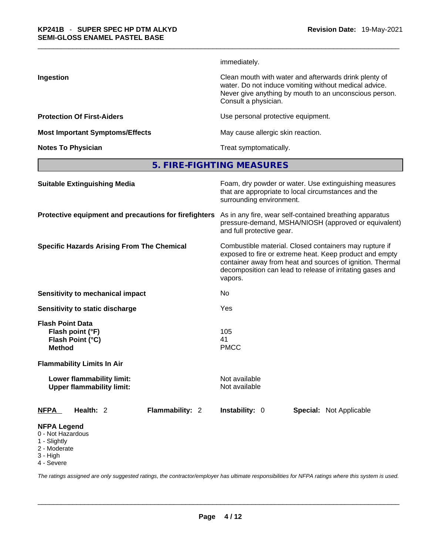|                                        | immediately.                                                                                                                                                                                     |
|----------------------------------------|--------------------------------------------------------------------------------------------------------------------------------------------------------------------------------------------------|
| Ingestion                              | Clean mouth with water and afterwards drink plenty of<br>water. Do not induce vomiting without medical advice.<br>Never give anything by mouth to an unconscious person.<br>Consult a physician. |
| <b>Protection Of First-Aiders</b>      | Use personal protective equipment.                                                                                                                                                               |
| <b>Most Important Symptoms/Effects</b> | May cause allergic skin reaction.                                                                                                                                                                |
| <b>Notes To Physician</b>              | Treat symptomatically.                                                                                                                                                                           |
|                                        |                                                                                                                                                                                                  |

**5. FIRE-FIGHTING MEASURES** 

| <b>Suitable Extinguishing Media</b>                                                 | Foam, dry powder or water. Use extinguishing measures<br>that are appropriate to local circumstances and the<br>surrounding environment.                                                                                                               |  |  |
|-------------------------------------------------------------------------------------|--------------------------------------------------------------------------------------------------------------------------------------------------------------------------------------------------------------------------------------------------------|--|--|
| Protective equipment and precautions for firefighters                               | As in any fire, wear self-contained breathing apparatus<br>pressure-demand, MSHA/NIOSH (approved or equivalent)<br>and full protective gear.                                                                                                           |  |  |
| <b>Specific Hazards Arising From The Chemical</b>                                   | Combustible material. Closed containers may rupture if<br>exposed to fire or extreme heat. Keep product and empty<br>container away from heat and sources of ignition. Thermal<br>decomposition can lead to release of irritating gases and<br>vapors. |  |  |
| Sensitivity to mechanical impact                                                    | No                                                                                                                                                                                                                                                     |  |  |
| Sensitivity to static discharge                                                     | Yes                                                                                                                                                                                                                                                    |  |  |
| <b>Flash Point Data</b><br>Flash point (°F)<br>Flash Point (°C)<br><b>Method</b>    | 105<br>41<br><b>PMCC</b>                                                                                                                                                                                                                               |  |  |
| <b>Flammability Limits In Air</b>                                                   |                                                                                                                                                                                                                                                        |  |  |
| Lower flammability limit:<br><b>Upper flammability limit:</b>                       | Not available<br>Not available                                                                                                                                                                                                                         |  |  |
| Health: 2<br>Flammability: 2<br><b>NFPA</b>                                         | <b>Instability: 0</b><br><b>Special: Not Applicable</b>                                                                                                                                                                                                |  |  |
| <b>NFPA Legend</b><br>0 - Not Hazardous<br>1 - Slightly<br>2 - Moderate<br>3 - High |                                                                                                                                                                                                                                                        |  |  |

4 - Severe

*The ratings assigned are only suggested ratings, the contractor/employer has ultimate responsibilities for NFPA ratings where this system is used.*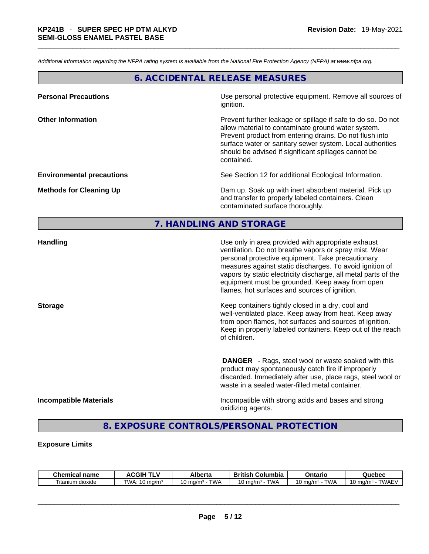*Additional information regarding the NFPA rating system is available from the National Fire Protection Agency (NFPA) at www.nfpa.org.* 

### **6. ACCIDENTAL RELEASE MEASURES**

| <b>Personal Precautions</b>      | Use personal protective equipment. Remove all sources of<br>ignition.                                                                                                                                                                                                                                            |
|----------------------------------|------------------------------------------------------------------------------------------------------------------------------------------------------------------------------------------------------------------------------------------------------------------------------------------------------------------|
| <b>Other Information</b>         | Prevent further leakage or spillage if safe to do so. Do not<br>allow material to contaminate ground water system.<br>Prevent product from entering drains. Do not flush into<br>surface water or sanitary sewer system. Local authorities<br>should be advised if significant spillages cannot be<br>contained. |
| <b>Environmental precautions</b> | See Section 12 for additional Ecological Information.                                                                                                                                                                                                                                                            |
| <b>Methods for Cleaning Up</b>   | Dam up. Soak up with inert absorbent material. Pick up<br>and transfer to properly labeled containers. Clean<br>contaminated surface thoroughly.                                                                                                                                                                 |

#### **7. HANDLING AND STORAGE**

| <b>Handling</b>               | Use only in area provided with appropriate exhaust<br>ventilation. Do not breathe vapors or spray mist. Wear<br>personal protective equipment. Take precautionary<br>measures against static discharges. To avoid ignition of<br>vapors by static electricity discharge, all metal parts of the<br>equipment must be grounded. Keep away from open<br>flames, hot surfaces and sources of ignition. |
|-------------------------------|-----------------------------------------------------------------------------------------------------------------------------------------------------------------------------------------------------------------------------------------------------------------------------------------------------------------------------------------------------------------------------------------------------|
| <b>Storage</b>                | Keep containers tightly closed in a dry, cool and<br>well-ventilated place. Keep away from heat. Keep away<br>from open flames, hot surfaces and sources of ignition.<br>Keep in properly labeled containers. Keep out of the reach<br>of children.                                                                                                                                                 |
|                               | <b>DANGER</b> - Rags, steel wool or waste soaked with this<br>product may spontaneously catch fire if improperly<br>discarded. Immediately after use, place rags, steel wool or<br>waste in a sealed water-filled metal container.                                                                                                                                                                  |
| <b>Incompatible Materials</b> | Incompatible with strong acids and bases and strong<br>oxidizing agents.                                                                                                                                                                                                                                                                                                                            |

### **8. EXPOSURE CONTROLS/PERSONAL PROTECTION**

#### **Exposure Limits**

| Chemical<br>name    | <b>CGIL</b>                             | Alberta                   | .<br><b>British</b><br>Columbia            | Ontaric      | Quebec                         |
|---------------------|-----------------------------------------|---------------------------|--------------------------------------------|--------------|--------------------------------|
| Titanium<br>dioxide | TWA.<br>$^{\circ}$ ma/m $^3$<br>$\cdot$ | TWA<br>1 ∩<br>`ma/m∼<br>U | <b>TWA</b><br>ma/m <sup>3</sup><br>$\cdot$ | TWA<br>ma/m- | TWAE <sup>\</sup><br>ma/m<br>v |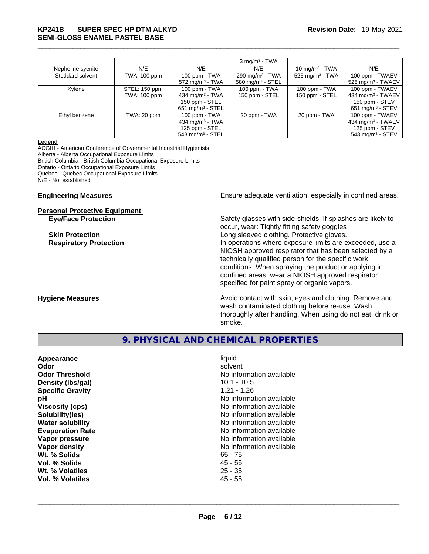## \_\_\_\_\_\_\_\_\_\_\_\_\_\_\_\_\_\_\_\_\_\_\_\_\_\_\_\_\_\_\_\_\_\_\_\_\_\_\_\_\_\_\_\_\_\_\_\_\_\_\_\_\_\_\_\_\_\_\_\_\_\_\_\_\_\_\_\_\_\_\_\_\_\_\_\_\_\_\_\_\_\_\_\_\_\_\_\_\_\_\_\_\_ **KP241B** - **SUPER SPEC HP DTM ALKYD SEMI-GLOSS ENAMEL PASTEL BASE**

|                   |               |                                | $3 \text{ mg/m}^3$ - TWA   |                             |                                |
|-------------------|---------------|--------------------------------|----------------------------|-----------------------------|--------------------------------|
| Nepheline syenite | N/E           | N/E                            | N/E                        | 10 mg/m $3$ - TWA           | N/E                            |
| Stoddard solvent  | TWA: 100 ppm  | 100 ppm - TWA                  | $290 \text{ mg/m}^3$ - TWA | 525 mg/m <sup>3</sup> - TWA | 100 ppm - TWAEV                |
|                   |               | $572 \text{ mg/m}^3$ - TWA     | 580 mg/m $3 -$ STEL        |                             | $525 \text{ mg/m}^3$ - TWAEV   |
| Xylene            | STEL: 150 ppm | $100$ ppm - TWA                | 100 ppm - TWA              | $100$ ppm - TWA             | 100 ppm - TWAEV                |
|                   | TWA: 100 ppm  | 434 mg/m $3$ - TWA             | 150 ppm - STEL             | 150 ppm - STEL              | 434 mg/m $3$ - TWAEV           |
|                   |               | 150 ppm - STEL                 |                            |                             | 150 ppm - STEV                 |
|                   |               | $651 \text{ mg/m}^3$ - STEL    |                            |                             | $651 \text{ mg/m}^3$ - STEV    |
| Ethyl benzene     | TWA: 20 ppm   | $100$ ppm - TWA                | 20 ppm - TWA               | 20 ppm - TWA                | 100 ppm - TWAEV                |
|                   |               | 434 mg/m $3$ - TWA             |                            |                             | 434 mg/m <sup>3</sup> - TWAEV  |
|                   |               | 125 ppm - STEL                 |                            |                             | 125 ppm - STEV                 |
|                   |               | $543$ mg/m <sup>3</sup> - STEL |                            |                             | $543$ mg/m <sup>3</sup> - STEV |

#### **Legend**

ACGIH - American Conference of Governmental Industrial Hygienists Alberta - Alberta Occupational Exposure Limits British Columbia - British Columbia Occupational Exposure Limits Ontario - Ontario Occupational Exposure Limits Quebec - Quebec Occupational Exposure Limits N/E - Not established

#### **Personal Protective Equipment**

**Engineering Measures Engineering Measures** Ensure adequate ventilation, especially in confined areas.

**Eye/Face Protection** Safety glasses with side-shields. If splashes are likely to occur, wear: Tightly fitting safety goggles **Skin Protection Skin Protection Constant Constant Constant Long sleeved clothing. Protective gloves. Respiratory Protection In operations where exposure limits are exceeded, use a** local protection NIOSH approved respirator that has been selected by a technically qualified person for the specific work conditions. When spraying the product or applying in confined areas, wear a NIOSH approved respirator specified for paint spray or organic vapors.

**Hygiene Measures Avoid contact with skin, eyes and clothing. Remove and Hygiene Measures Avoid contact with skin, eyes and clothing. Remove and** wash contaminated clothing before re-use. Wash thoroughly after handling. When using do not eat, drink or smoke.

#### **9. PHYSICAL AND CHEMICAL PROPERTIES**

| Appearance              | liquid                   |
|-------------------------|--------------------------|
| Odor                    | solvent                  |
| <b>Odor Threshold</b>   | No information available |
| Density (Ibs/gal)       | $10.1 - 10.5$            |
| <b>Specific Gravity</b> | $1.21 - 1.26$            |
| рH                      | No information available |
| <b>Viscosity (cps)</b>  | No information available |
| Solubility(ies)         | No information available |
| <b>Water solubility</b> | No information available |
| <b>Evaporation Rate</b> | No information available |
| Vapor pressure          | No information available |
| Vapor density           | No information available |
| Wt. % Solids            | $65 - 75$                |
| Vol. % Solids           | $45 - 55$                |
| Wt. % Volatiles         | $25 - 35$                |
| Vol. % Volatiles        | $45 - 55$                |
|                         |                          |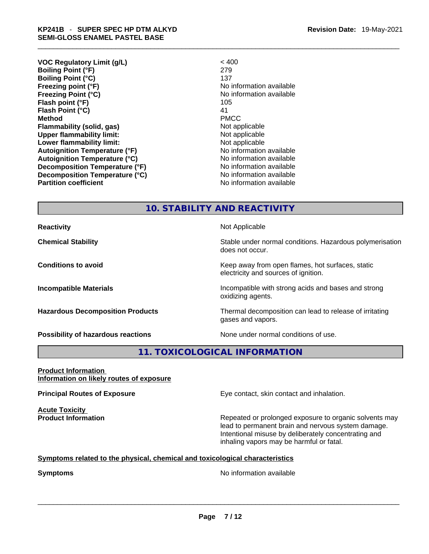- **VOC Regulatory Limit (g/L)** < 400 **Boiling Point (°F)** 279 **Boiling Point (°C)** 137 **Freezing point (°F)** The state of the state of the Noinformation available **Freezing Point (°C)** The state of the Monometer of Noinformation available **Flash point (°F)** 105 **Flash Point (°C)** 41 **Method** PMCC **Flammability (solid, gas)** Not applicable **Upper flammability limit:** Not applicable **Lower flammability limit:**<br> **Autoignition Temperature (°F)** Not applicable available and the Mustafable and Mustafable and Mustafable and Mu **Autoignition Temperature (°F)**<br> **Autoignition Temperature (°C)** No information available **Autoignition Temperature (°C) Decomposition Temperature (°F)** No information available **Decomposition Temperature (°C)**<br> **Partition coefficient**<br> **Partition coefficient**<br> **No** information available
- **No information available**

#### **10. STABILITY AND REACTIVITY**

**Reactivity Not Applicable Not Applicable** 

**Possibility of hazardous reactions** None under normal conditions of use.

**Chemical Stability Stability** Stable under normal conditions. Hazardous polymerisation does not occur.

**Conditions to avoid Conditions to avoid Conditions keep** away from open flames, hot surfaces, static electricity and sources of ignition.

**Incompatible Materials Incompatible with strong acids and bases and strong** oxidizing agents.

**Hazardous Decomposition Products** Thermal decomposition can lead to release of irritating gases and vapors.

#### **11. TOXICOLOGICAL INFORMATION**

**Product Information Information on likely routes of exposure**

**Acute Toxicity** 

**Principal Routes of Exposure Exposure** Eye contact, skin contact and inhalation.

**Product Information Repeated or prolonged exposure to organic solvents may** lead to permanent brain and nervous system damage. Intentional misuse by deliberately concentrating and inhaling vapors may be harmful or fatal.

#### **Symptoms** related to the physical, chemical and toxicological characteristics

**Symptoms**<br>
No information available<br>
No information available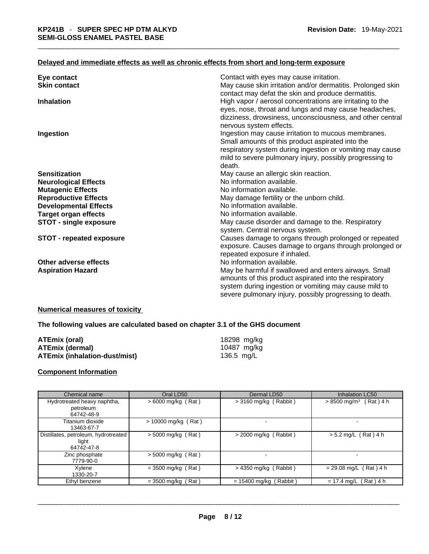#### **Delayed and immediate effects as well as chronic effects from short and long-term exposure**

| Eye contact                     | Contact with eyes may cause irritation.                                                                           |
|---------------------------------|-------------------------------------------------------------------------------------------------------------------|
| <b>Skin contact</b>             | May cause skin irritation and/or dermatitis. Prolonged skin<br>contact may defat the skin and produce dermatitis. |
| <b>Inhalation</b>               | High vapor / aerosol concentrations are irritating to the                                                         |
|                                 | eyes, nose, throat and lungs and may cause headaches,                                                             |
|                                 | dizziness, drowsiness, unconsciousness, and other central                                                         |
|                                 | nervous system effects.                                                                                           |
| Ingestion                       | Ingestion may cause irritation to mucous membranes.                                                               |
|                                 | Small amounts of this product aspirated into the                                                                  |
|                                 | respiratory system during ingestion or vomiting may cause                                                         |
|                                 | mild to severe pulmonary injury, possibly progressing to                                                          |
|                                 | death.                                                                                                            |
| <b>Sensitization</b>            | May cause an allergic skin reaction.                                                                              |
| <b>Neurological Effects</b>     | No information available.                                                                                         |
| <b>Mutagenic Effects</b>        | No information available.                                                                                         |
| <b>Reproductive Effects</b>     | May damage fertility or the unborn child.                                                                         |
| <b>Developmental Effects</b>    | No information available.                                                                                         |
| <b>Target organ effects</b>     | No information available.                                                                                         |
| <b>STOT - single exposure</b>   | May cause disorder and damage to the. Respiratory<br>system. Central nervous system.                              |
| <b>STOT - repeated exposure</b> | Causes damage to organs through prolonged or repeated                                                             |
|                                 | exposure. Causes damage to organs through prolonged or                                                            |
|                                 | repeated exposure if inhaled.                                                                                     |
| Other adverse effects           | No information available.                                                                                         |
| <b>Aspiration Hazard</b>        | May be harmful if swallowed and enters airways. Small                                                             |
|                                 | amounts of this product aspirated into the respiratory                                                            |
|                                 | system during ingestion or vomiting may cause mild to                                                             |
|                                 | severe pulmonary injury, possibly progressing to death.                                                           |
|                                 |                                                                                                                   |

#### **Numerical measures of toxicity**

#### **The following values are calculated based on chapter 3.1 of the GHS document**

| ATEmix (oral)                        | 18298 mg/kg |
|--------------------------------------|-------------|
| <b>ATEmix (dermal)</b>               | 10487 mg/kg |
| <b>ATEmix (inhalation-dust/mist)</b> | 136.5 mg/L  |

#### **Component Information**

| Chemical name                                               | Oral LD50             | Dermal LD50                   | <b>Inhalation LC50</b>               |
|-------------------------------------------------------------|-----------------------|-------------------------------|--------------------------------------|
| Hydrotreated heavy naphtha,<br>petroleum                    | $>6000$ mg/kg (Rat)   | $>$ 3160 mg/kg (Rabbit)       | $> 8500$ mg/m <sup>3</sup> (Rat) 4 h |
| 64742-48-9                                                  |                       |                               |                                      |
| Titanium dioxide<br>13463-67-7                              | $> 10000$ mg/kg (Rat) | $\overline{\phantom{0}}$      |                                      |
| Distillates, petroleum, hydrotreated<br>light<br>64742-47-8 | $> 5000$ mg/kg (Rat)  | $>$ 2000 mg/kg (Rabbit)       | $> 5.2$ mg/L (Rat) 4 h               |
| Zinc phosphate<br>7779-90-0                                 | $> 5000$ mg/kg (Rat)  |                               |                                      |
| Xvlene<br>1330-20-7                                         | $= 3500$ mg/kg (Rat)  | $>$ 4350 mg/kg (Rabbit)       | $= 29.08$ mg/L (Rat) 4 h             |
| Ethyl benzene                                               | $=$ 3500 mg/kg (Rat)  | (Rabbit)<br>$= 15400$ mg/kg ( | $= 17.4$ mg/L (Rat) 4 h              |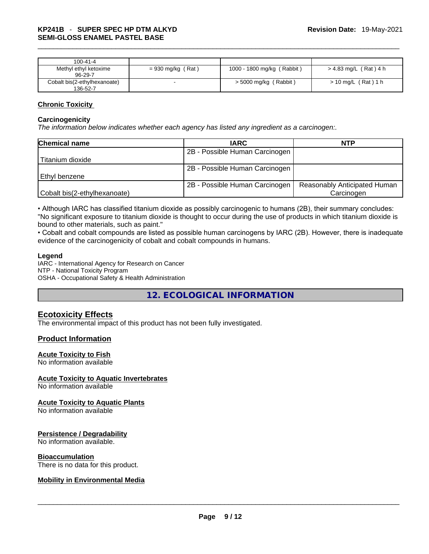| 100-41-4                                 |                     |                            |                         |
|------------------------------------------|---------------------|----------------------------|-------------------------|
| Methyl ethyl ketoxime<br>$96-29-7$       | $= 930$ mg/kg (Rat) | 1000 - 1800 mg/kg (Rabbit) | $> 4.83$ mg/L (Rat) 4 h |
| Cobalt bis(2-ethylhexanoate)<br>136-52-7 |                     | > 5000 mg/kg (Rabbit)      | > 10 mg/L (Rat) 1 h     |

#### **Chronic Toxicity**

#### **Carcinogenicity**

*The information below indicates whether each agency has listed any ingredient as a carcinogen:.* 

| <b>Chemical name</b>         | <b>IARC</b>                    | <b>NTP</b>                   |
|------------------------------|--------------------------------|------------------------------|
|                              | 2B - Possible Human Carcinogen |                              |
| Titanium dioxide             |                                |                              |
|                              | 2B - Possible Human Carcinogen |                              |
| l Ethvl benzene              |                                |                              |
|                              | 2B - Possible Human Carcinogen | Reasonably Anticipated Human |
| Cobalt bis(2-ethylhexanoate) |                                | Carcinogen                   |

• Although IARC has classified titanium dioxide as possibly carcinogenic to humans (2B), their summary concludes: "No significant exposure to titanium dioxide is thought to occur during the use of products in which titanium dioxide is bound to other materials, such as paint."

• Cobalt and cobalt compounds are listed as possible human carcinogens by IARC (2B). However, there is inadequate evidence of the carcinogenicity of cobalt and cobalt compounds in humans.

#### **Legend**

IARC - International Agency for Research on Cancer NTP - National Toxicity Program OSHA - Occupational Safety & Health Administration

**12. ECOLOGICAL INFORMATION** 

#### **Ecotoxicity Effects**

The environmental impact of this product has not been fully investigated.

#### **Product Information**

#### **Acute Toxicity to Fish**

No information available

#### **Acute Toxicity to Aquatic Invertebrates**

No information available

#### **Acute Toxicity to Aquatic Plants**

No information available

#### **Persistence / Degradability**

No information available.

#### **Bioaccumulation**

# There is no data for this product. \_\_\_\_\_\_\_\_\_\_\_\_\_\_\_\_\_\_\_\_\_\_\_\_\_\_\_\_\_\_\_\_\_\_\_\_\_\_\_\_\_\_\_\_\_\_\_\_\_\_\_\_\_\_\_\_\_\_\_\_\_\_\_\_\_\_\_\_\_\_\_\_\_\_\_\_\_\_\_\_\_\_\_\_\_\_\_\_\_\_\_\_\_ **Mobility in Environmental Media**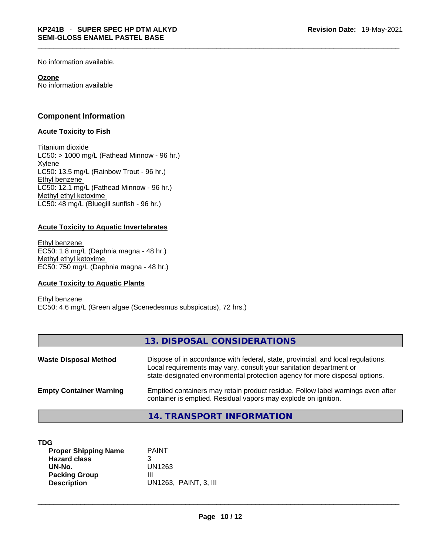No information available.

#### **Ozone**

No information available

#### **Component Information**

#### **Acute Toxicity to Fish**

Titanium dioxide  $LC50:$  > 1000 mg/L (Fathead Minnow - 96 hr.) Xylene LC50: 13.5 mg/L (Rainbow Trout - 96 hr.) Ethyl benzene LC50: 12.1 mg/L (Fathead Minnow - 96 hr.) Methyl ethyl ketoxime LC50: 48 mg/L (Bluegill sunfish - 96 hr.)

#### **Acute Toxicity to Aquatic Invertebrates**

Ethyl benzene EC50: 1.8 mg/L (Daphnia magna - 48 hr.) Methyl ethyl ketoxime EC50: 750 mg/L (Daphnia magna - 48 hr.)

#### **Acute Toxicity to Aquatic Plants**

Ethyl benzene EC50: 4.6 mg/L (Green algae (Scenedesmus subspicatus), 72 hrs.)

|                                | 13. DISPOSAL CONSIDERATIONS                                                                                                                                                                                                           |
|--------------------------------|---------------------------------------------------------------------------------------------------------------------------------------------------------------------------------------------------------------------------------------|
| <b>Waste Disposal Method</b>   | Dispose of in accordance with federal, state, provincial, and local regulations.<br>Local requirements may vary, consult your sanitation department or<br>state-designated environmental protection agency for more disposal options. |
| <b>Empty Container Warning</b> | Emptied containers may retain product residue. Follow label warnings even after<br>container is emptied. Residual vapors may explode on ignition.                                                                                     |

**14. TRANSPORT INFORMATION** 

| TDG<br><b>Proper Shipping Name</b> | <b>PAINT</b>          |
|------------------------------------|-----------------------|
| <b>Hazard class</b>                | າ<br>ت                |
| UN-No.                             | UN1263                |
| <b>Packing Group</b>               | Ш                     |
| <b>Description</b>                 | UN1263, PAINT, 3, III |
|                                    |                       |
|                                    |                       |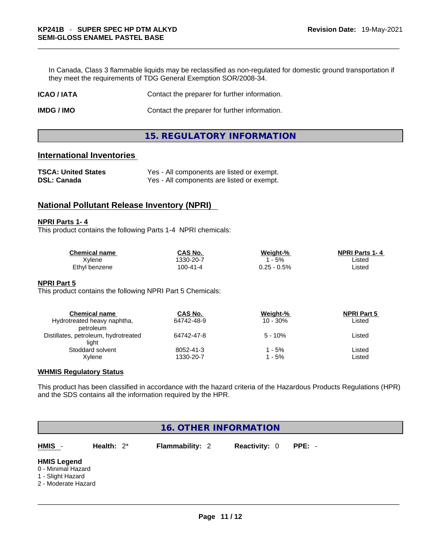In Canada, Class 3 flammable liquids may be reclassified as non-regulated for domestic ground transportation if they meet the requirements of TDG General Exemption SOR/2008-34.

| <b>ICAO/IATA</b>  | Contact the preparer for further information. |
|-------------------|-----------------------------------------------|
| <b>IMDG / IMO</b> | Contact the preparer for further information. |

#### **15. REGULATORY INFORMATION**

#### **International Inventories**

| <b>TSCA: United States</b> | Yes - All components are listed or exempt. |
|----------------------------|--------------------------------------------|
| <b>DSL: Canada</b>         | Yes - All components are listed or exempt. |

#### **National Pollutant Release Inventory (NPRI)**

#### **NPRI Parts 1- 4**

This product contains the following Parts 1-4 NPRI chemicals:

| <b>Chemical name</b> | CAS No.   | Weight-%   | <b>NPRI Parts 1-4</b> |  |
|----------------------|-----------|------------|-----------------------|--|
| Xvlene               | 1330-20-7 | 5%         | _isted                |  |
| Ethyl benzene        | 100-41-4  | .25 - 0.5% | _isted                |  |

#### **NPRI Part 5**

This product contains the following NPRI Part 5 Chemicals:

| <b>Chemical name</b>                 | CAS No.    | Weight-%    | <b>NPRI Part 5</b> |  |
|--------------------------------------|------------|-------------|--------------------|--|
| Hydrotreated heavy naphtha,          | 64742-48-9 | $10 - 30\%$ | Listed             |  |
| petroleum                            |            |             |                    |  |
| Distillates, petroleum, hydrotreated | 64742-47-8 | $5 - 10%$   | Listed             |  |
| liaht                                |            |             |                    |  |
| Stoddard solvent                     | 8052-41-3  | - 5%        | Listed             |  |
| Xylene                               | 1330-20-7  | - 5%        | Listed             |  |

#### **WHMIS Regulatory Status**

This product has been classified in accordance with the hazard criteria of the Hazardous Products Regulations (HPR) and the SDS contains all the information required by the HPR.

| 16. OTHER INFORMATION                                                                |               |                        |                      |        |
|--------------------------------------------------------------------------------------|---------------|------------------------|----------------------|--------|
| HMIS -                                                                               | Health: $2^*$ | <b>Flammability: 2</b> | <b>Reactivity: 0</b> | PPE: - |
| <b>HMIS Legend</b><br>0 - Minimal Hazard<br>1 - Slight Hazard<br>2 - Moderate Hazard |               |                        |                      |        |